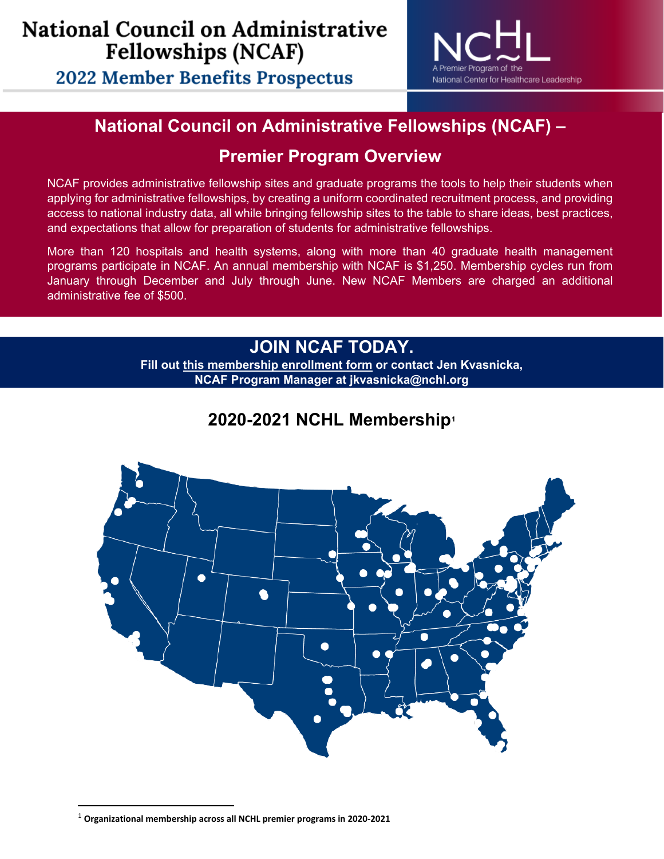**2022 Member Benefits Prospectus** 



## **National Council on Administrative Fellowships (NCAF) –**

## **Premier Program Overview**

NCAF provides administrative fellowship sites and graduate programs the tools to help their students when applying for administrative fellowships, by creating a uniform coordinated recruitment process, and providing access to national industry data, all while bringing fellowship sites to the table to share ideas, best practices, and expectations that allow for preparation of students for administrative fellowships.

More than 120 hospitals and health systems, along with more than 40 graduate health management programs participate in NCAF. An annual membership with NCAF is \$1,250. Membership cycles run from January through December and July through June. New NCAF Members are charged an additional administrative fee of \$500.

### **JOIN NCAF TODAY.**

**Fill out [this membership enrollment form](https://nchl.iad1.qualtrics.com/jfe/form/SV_eUQMdX2VzH5TmKy) or contact Jen Kvasnicka, NCAF Program Manager at jkvasnicka@nchl.org**

## **2020-2021 NCHL Membership[1](#page-0-0)**



<span id="page-0-0"></span><sup>1</sup> **Organizational membership across all NCHL premier programs in 2020-2021**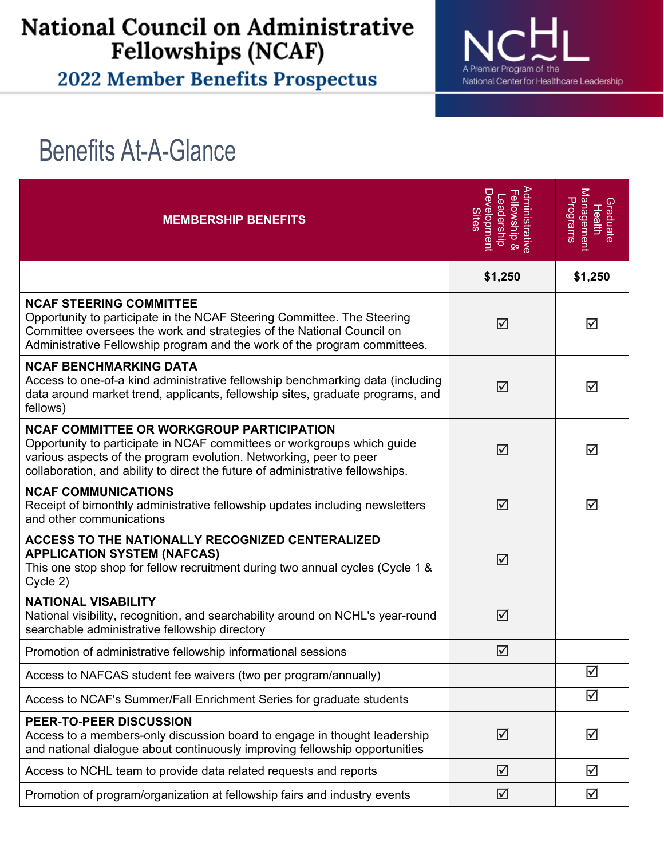## **National Council on Administrative Fellowships (NCAF)**

2022 Member Benefits Prospectus



# Benefits At-A-Glance

| <b>MEMBERSHIP BENEFITS</b>                                                                                                                                                                                                                                                          | Administrative<br><u>Developmen</u><br>Fellowship &<br>eadership<br><b>Sites</b> | Management<br>Programs<br>Graduate<br><b>Health</b> |
|-------------------------------------------------------------------------------------------------------------------------------------------------------------------------------------------------------------------------------------------------------------------------------------|----------------------------------------------------------------------------------|-----------------------------------------------------|
|                                                                                                                                                                                                                                                                                     | \$1,250                                                                          | \$1,250                                             |
| <b>NCAF STEERING COMMITTEE</b><br>Opportunity to participate in the NCAF Steering Committee. The Steering<br>Committee oversees the work and strategies of the National Council on<br>Administrative Fellowship program and the work of the program committees.                     | ☑                                                                                | ☑                                                   |
| <b>NCAF BENCHMARKING DATA</b><br>Access to one-of-a kind administrative fellowship benchmarking data (including<br>data around market trend, applicants, fellowship sites, graduate programs, and<br>fellows)                                                                       | ⊠                                                                                | ☑                                                   |
| <b>NCAF COMMITTEE OR WORKGROUP PARTICIPATION</b><br>Opportunity to participate in NCAF committees or workgroups which guide<br>various aspects of the program evolution. Networking, peer to peer<br>collaboration, and ability to direct the future of administrative fellowships. | ☑                                                                                | ☑                                                   |
| <b>NCAF COMMUNICATIONS</b><br>Receipt of bimonthly administrative fellowship updates including newsletters<br>and other communications                                                                                                                                              | ☑                                                                                | ☑                                                   |
| <b>ACCESS TO THE NATIONALLY RECOGNIZED CENTERALIZED</b><br><b>APPLICATION SYSTEM (NAFCAS)</b><br>This one stop shop for fellow recruitment during two annual cycles (Cycle 1 &<br>Cycle 2)                                                                                          | ☑                                                                                |                                                     |
| <b>NATIONAL VISABILITY</b><br>National visibility, recognition, and searchability around on NCHL's year-round<br>searchable administrative fellowship directory                                                                                                                     | ☑                                                                                |                                                     |
| Promotion of administrative fellowship informational sessions                                                                                                                                                                                                                       | ☑                                                                                |                                                     |
| Access to NAFCAS student fee waivers (two per program/annually)                                                                                                                                                                                                                     |                                                                                  | $\Delta$                                            |
| Access to NCAF's Summer/Fall Enrichment Series for graduate students                                                                                                                                                                                                                |                                                                                  | ☑                                                   |
| PEER-TO-PEER DISCUSSION<br>Access to a members-only discussion board to engage in thought leadership<br>and national dialogue about continuously improving fellowship opportunities                                                                                                 | ☑                                                                                | ☑                                                   |
| Access to NCHL team to provide data related requests and reports                                                                                                                                                                                                                    | $\Delta$                                                                         | ☑                                                   |
| Promotion of program/organization at fellowship fairs and industry events                                                                                                                                                                                                           | ☑                                                                                | ☑                                                   |